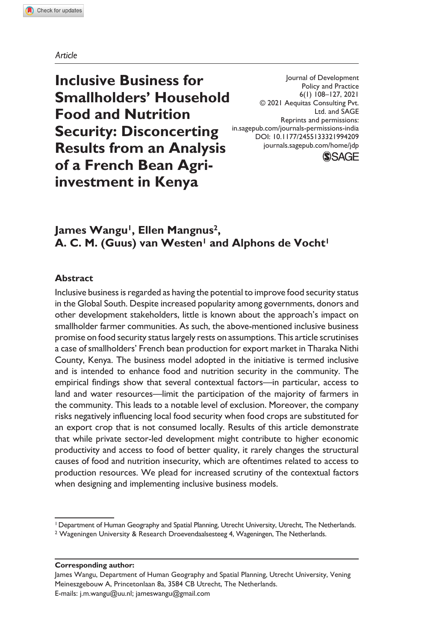#### *Article*

**Inclusive Business for Smallholders' Household Food and Nutrition Security: Disconcerting Results from an Analysis of a French Bean Agriinvestment in Kenya**

Reprints and permissions: Journal of Development Policy and Practice 6(1) 108–127, 2021 © 2021 Aequitas Consulting Pvt. Ltd. and SAGE in.sagepub.com/journals-permissions-india DOI: 10.1177/2455133321994209 journals.sagepub.com/home/jdp



**James Wangu1, Ellen Mangnus2,**  A. C. M. (Guus) van Westen<sup>1</sup> and Alphons de Vocht<sup>1</sup>

## **Abstract**

Inclusive business is regarded as having the potential to improve food security status in the Global South. Despite increased popularity among governments, donors and other development stakeholders, little is known about the approach's impact on smallholder farmer communities. As such, the above-mentioned inclusive business promise on food security status largely rests on assumptions. This article scrutinises a case of smallholders' French bean production for export market in Tharaka Nithi County, Kenya. The business model adopted in the initiative is termed inclusive and is intended to enhance food and nutrition security in the community. The empirical findings show that several contextual factors—in particular, access to land and water resources—limit the participation of the majority of farmers in the community. This leads to a notable level of exclusion. Moreover, the company risks negatively influencing local food security when food crops are substituted for an export crop that is not consumed locally. Results of this article demonstrate that while private sector-led development might contribute to higher economic productivity and access to food of better quality, it rarely changes the structural causes of food and nutrition insecurity, which are oftentimes related to access to production resources. We plead for increased scrutiny of the contextual factors when designing and implementing inclusive business models.

#### **Corresponding author:**

James Wangu, Department of Human Geography and Spatial Planning, Utrecht University, Vening Meineszgebouw A, Princetonlaan 8a, 3584 CB Utrecht, The Netherlands. E-mails: j.m.wangu@uu.nl; jameswangu@gmail.com

<sup>1</sup> Department of Human Geography and Spatial Planning, Utrecht University, Utrecht, The Netherlands.

<sup>&</sup>lt;sup>2</sup> Wageningen University & Research Droevendaalsesteeg 4, Wageningen, The Netherlands.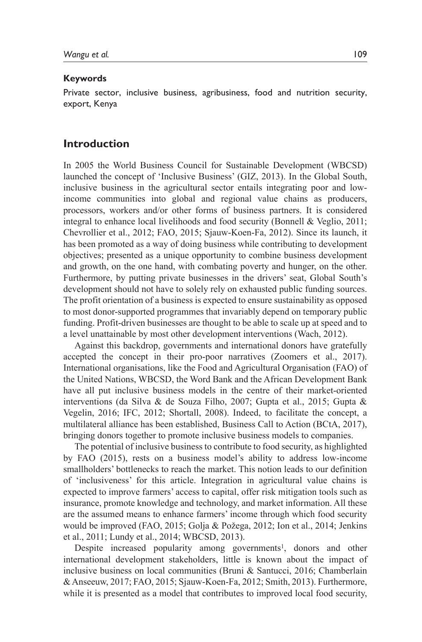#### **Keywords**

Private sector, inclusive business, agribusiness, food and nutrition security, export, Kenya

## **Introduction**

In 2005 the World Business Council for Sustainable Development (WBCSD) launched the concept of 'Inclusive Business' (GIZ, 2013). In the Global South, inclusive business in the agricultural sector entails integrating poor and lowincome communities into global and regional value chains as producers, processors, workers and/or other forms of business partners. It is considered integral to enhance local livelihoods and food security (Bonnell & Veglio, 2011; Chevrollier et al., 2012; FAO, 2015; Sjauw-Koen-Fa, 2012). Since its launch, it has been promoted as a way of doing business while contributing to development objectives; presented as a unique opportunity to combine business development and growth, on the one hand, with combating poverty and hunger, on the other. Furthermore, by putting private businesses in the drivers' seat, Global South's development should not have to solely rely on exhausted public funding sources. The profit orientation of a business is expected to ensure sustainability as opposed to most donor-supported programmes that invariably depend on temporary public funding. Profit-driven businesses are thought to be able to scale up at speed and to a level unattainable by most other development interventions (Wach, 2012).

Against this backdrop, governments and international donors have gratefully accepted the concept in their pro-poor narratives (Zoomers et al., 2017). International organisations, like the Food and Agricultural Organisation (FAO) of the United Nations, WBCSD, the Word Bank and the African Development Bank have all put inclusive business models in the centre of their market-oriented interventions (da Silva & de Souza Filho, 2007; Gupta et al., 2015; Gupta & Vegelin, 2016; IFC, 2012; Shortall, 2008). Indeed, to facilitate the concept, a multilateral alliance has been established, Business Call to Action (BCtA, 2017), bringing donors together to promote inclusive business models to companies.

The potential of inclusive business to contribute to food security, as highlighted by FAO (2015), rests on a business model's ability to address low-income smallholders' bottlenecks to reach the market. This notion leads to our definition of 'inclusiveness' for this article. Integration in agricultural value chains is expected to improve farmers' access to capital, offer risk mitigation tools such as insurance, promote knowledge and technology, and market information. All these are the assumed means to enhance farmers' income through which food security would be improved (FAO, 2015; Golja & Požega, 2012; Ion et al., 2014; Jenkins et al., 2011; Lundy et al., 2014; WBCSD, 2013).

Despite increased popularity among governments<sup>1</sup>, donors and other international development stakeholders, little is known about the impact of inclusive business on local communities (Bruni & Santucci, 2016; Chamberlain & Anseeuw, 2017; FAO, 2015; Sjauw-Koen-Fa, 2012; Smith, 2013). Furthermore, while it is presented as a model that contributes to improved local food security,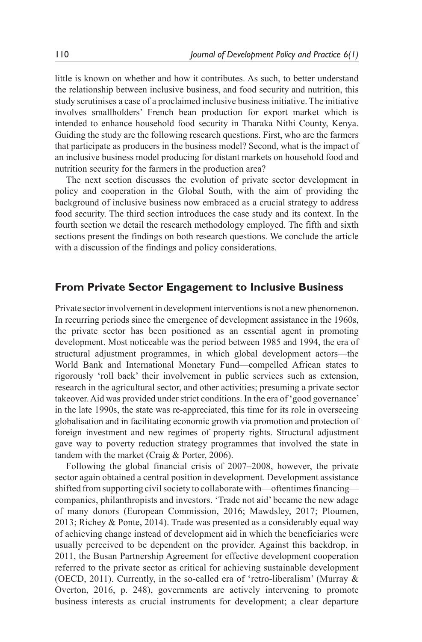little is known on whether and how it contributes. As such, to better understand the relationship between inclusive business, and food security and nutrition, this study scrutinises a case of a proclaimed inclusive business initiative. The initiative involves smallholders' French bean production for export market which is intended to enhance household food security in Tharaka Nithi County, Kenya. Guiding the study are the following research questions. First, who are the farmers that participate as producers in the business model? Second, what is the impact of an inclusive business model producing for distant markets on household food and nutrition security for the farmers in the production area?

The next section discusses the evolution of private sector development in policy and cooperation in the Global South, with the aim of providing the background of inclusive business now embraced as a crucial strategy to address food security. The third section introduces the case study and its context. In the fourth section we detail the research methodology employed. The fifth and sixth sections present the findings on both research questions. We conclude the article with a discussion of the findings and policy considerations.

## **From Private Sector Engagement to Inclusive Business**

Private sector involvement in development interventions is not a new phenomenon. In recurring periods since the emergence of development assistance in the 1960s, the private sector has been positioned as an essential agent in promoting development. Most noticeable was the period between 1985 and 1994, the era of structural adjustment programmes, in which global development actors—the World Bank and International Monetary Fund—compelled African states to rigorously 'roll back' their involvement in public services such as extension, research in the agricultural sector, and other activities; presuming a private sector takeover. Aid was provided under strict conditions. In the era of 'good governance' in the late 1990s, the state was re-appreciated, this time for its role in overseeing globalisation and in facilitating economic growth via promotion and protection of foreign investment and new regimes of property rights. Structural adjustment gave way to poverty reduction strategy programmes that involved the state in tandem with the market (Craig & Porter, 2006).

Following the global financial crisis of 2007–2008, however, the private sector again obtained a central position in development. Development assistance shifted from supporting civil society to collaborate with—oftentimes financing companies, philanthropists and investors. 'Trade not aid' became the new adage of many donors (European Commission, 2016; Mawdsley, 2017; Ploumen, 2013; Richey & Ponte, 2014). Trade was presented as a considerably equal way of achieving change instead of development aid in which the beneficiaries were usually perceived to be dependent on the provider. Against this backdrop, in 2011, the Busan Partnership Agreement for effective development cooperation referred to the private sector as critical for achieving sustainable development (OECD, 2011). Currently, in the so-called era of 'retro-liberalism' (Murray & Overton, 2016, p. 248), governments are actively intervening to promote business interests as crucial instruments for development; a clear departure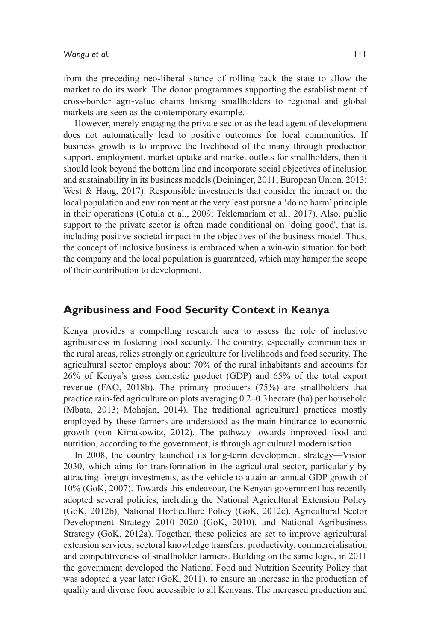from the preceding neo-liberal stance of rolling back the state to allow the market to do its work. The donor programmes supporting the establishment of cross-border agri-value chains linking smallholders to regional and global markets are seen as the contemporary example.

However, merely engaging the private sector as the lead agent of development does not automatically lead to positive outcomes for local communities. If business growth is to improve the livelihood of the many through production support, employment, market uptake and market outlets for smallholders, then it should look beyond the bottom line and incorporate social objectives of inclusion and sustainability in its business models (Deininger, 2011; European Union, 2013; West & Haug, 2017). Responsible investments that consider the impact on the local population and environment at the very least pursue a 'do no harm' principle in their operations (Cotula et al., 2009; Teklemariam et al., 2017). Also, public support to the private sector is often made conditional on 'doing good', that is, including positive societal impact in the objectives of the business model. Thus, the concept of inclusive business is embraced when a win-win situation for both the company and the local population is guaranteed, which may hamper the scope of their contribution to development.

# **Agribusiness and Food Security Context in Keanya**

Kenya provides a compelling research area to assess the role of inclusive agribusiness in fostering food security. The country, especially communities in the rural areas, relies strongly on agriculture for livelihoods and food security. The agricultural sector employs about 70% of the rural inhabitants and accounts for 26% of Kenya's gross domestic product (GDP) and 65% of the total export revenue (FAO, 2018b). The primary producers (75%) are smallholders that practice rain-fed agriculture on plots averaging 0.2–0.3hectare (ha) per household (Mbata, 2013; Mohajan, 2014). The traditional agricultural practices mostly employed by these farmers are understood as the main hindrance to economic growth (von Kimakowitz, 2012). The pathway towards improved food and nutrition, according to the government, is through agricultural modernisation.

In 2008, the country launched its long-term development strategy—Vision 2030, which aims for transformation in the agricultural sector, particularly by attracting foreign investments, as the vehicle to attain an annual GDP growth of 10% (GoK, 2007). Towards this endeavour, the Kenyan government has recently adopted several policies, including the National Agricultural Extension Policy (GoK, 2012b), National Horticulture Policy (GoK, 2012c), Agricultural Sector Development Strategy 2010–2020 (GoK, 2010), and National Agribusiness Strategy (GoK, 2012a). Together, these policies are set to improve agricultural extension services, sectoral knowledge transfers, productivity, commercialisation and competitiveness of smallholder farmers. Building on the same logic, in 2011 the government developed the National Food and Nutrition Security Policy that was adopted a year later (GoK, 2011), to ensure an increase in the production of quality and diverse food accessible to all Kenyans. The increased production and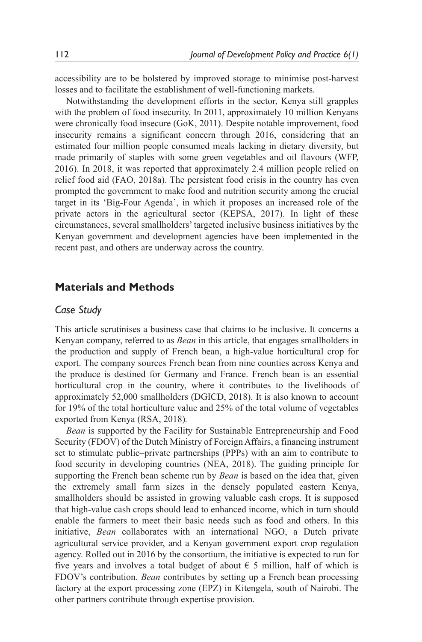accessibility are to be bolstered by improved storage to minimise post-harvest losses and to facilitate the establishment of well-functioning markets.

Notwithstanding the development efforts in the sector, Kenya still grapples with the problem of food insecurity. In 2011, approximately 10 million Kenyans were chronically food insecure (GoK, 2011). Despite notable improvement, food insecurity remains a significant concern through 2016, considering that an estimated four million people consumed meals lacking in dietary diversity, but made primarily of staples with some green vegetables and oil flavours (WFP, 2016). In 2018, it was reported that approximately 2.4 million people relied on relief food aid (FAO, 2018a). The persistent food crisis in the country has even prompted the government to make food and nutrition security among the crucial target in its 'Big-Four Agenda', in which it proposes an increased role of the private actors in the agricultural sector (KEPSA, 2017). In light of these circumstances, several smallholders' targeted inclusive business initiatives by the Kenyan government and development agencies have been implemented in the recent past, and others are underway across the country.

## **Materials and Methods**

## *Case Study*

This article scrutinises a business case that claims to be inclusive. It concerns a Kenyan company, referred to as *Bean* in this article, that engages smallholders in the production and supply of French bean, a high-value horticultural crop for export. The company sources French bean from nine counties across Kenya and the produce is destined for Germany and France. French bean is an essential horticultural crop in the country, where it contributes to the livelihoods of approximately 52,000 smallholders (DGICD, 2018). It is also known to account for 19% of the total horticulture value and 25% of the total volume of vegetables exported from Kenya (RSA, 2018)*.*

*Bean* is supported by the Facility for Sustainable Entrepreneurship and Food Security (FDOV) of the Dutch Ministry of Foreign Affairs, a financing instrument set to stimulate public–private partnerships (PPPs) with an aim to contribute to food security in developing countries (NEA, 2018). The guiding principle for supporting the French bean scheme run by *Bean* is based on the idea that, given the extremely small farm sizes in the densely populated eastern Kenya, smallholders should be assisted in growing valuable cash crops. It is supposed that high-value cash crops should lead to enhanced income, which in turn should enable the farmers to meet their basic needs such as food and others. In this initiative, *Bean* collaborates with an international NGO, a Dutch private agricultural service provider, and a Kenyan government export crop regulation agency. Rolled out in 2016 by the consortium, the initiative is expected to run for five years and involves a total budget of about  $\epsilon$  5 million, half of which is FDOV's contribution. *Bean* contributes by setting up a French bean processing factory at the export processing zone (EPZ) in Kitengela, south of Nairobi. The other partners contribute through expertise provision.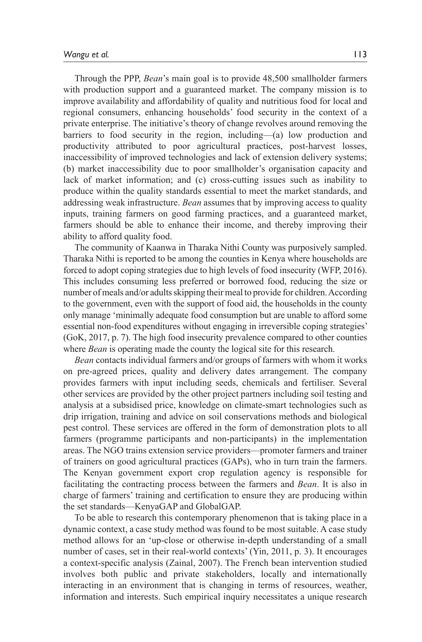Through the PPP, *Bean*'s main goal is to provide 48,500 smallholder farmers with production support and a guaranteed market. The company mission is to improve availability and affordability of quality and nutritious food for local and regional consumers, enhancing households' food security in the context of a private enterprise. The initiative's theory of change revolves around removing the barriers to food security in the region, including—(a) low production and productivity attributed to poor agricultural practices, post-harvest losses, inaccessibility of improved technologies and lack of extension delivery systems; (b) market inaccessibility due to poor smallholder's organisation capacity and lack of market information; and (c) cross-cutting issues such as inability to produce within the quality standards essential to meet the market standards, and addressing weak infrastructure. *Bean* assumes that by improving access to quality inputs, training farmers on good farming practices, and a guaranteed market, farmers should be able to enhance their income, and thereby improving their ability to afford quality food.

The community of Kaanwa in Tharaka Nithi County was purposively sampled. Tharaka Nithi is reported to be among the counties in Kenya where households are forced to adopt coping strategies due to high levels of food insecurity (WFP, 2016). This includes consuming less preferred or borrowed food, reducing the size or number of meals and/or adults skipping their meal to provide for children. According to the government, even with the support of food aid, the households in the county only manage 'minimally adequate food consumption but are unable to afford some essential non-food expenditures without engaging in irreversible coping strategies' (GoK, 2017, p. 7). The high food insecurity prevalence compared to other counties where *Bean* is operating made the county the logical site for this research.

*Bean* contacts individual farmers and/or groups of farmers with whom it works on pre-agreed prices, quality and delivery dates arrangement. The company provides farmers with input including seeds, chemicals and fertiliser. Several other services are provided by the other project partners including soil testing and analysis at a subsidised price, knowledge on climate-smart technologies such as drip irrigation, training and advice on soil conservations methods and biological pest control. These services are offered in the form of demonstration plots to all farmers (programme participants and non-participants) in the implementation areas. The NGO trains extension service providers—promoter farmers and trainer of trainers on good agricultural practices (GAPs), who in turn train the farmers. The Kenyan government export crop regulation agency is responsible for facilitating the contracting process between the farmers and *Bean*. It is also in charge of farmers' training and certification to ensure they are producing within the set standards—KenyaGAP and GlobalGAP.

To be able to research this contemporary phenomenon that is taking place in a dynamic context, a case study method was found to be most suitable. A case study method allows for an 'up-close or otherwise in-depth understanding of a small number of cases, set in their real-world contexts' (Yin, 2011, p. 3). It encourages a context-specific analysis (Zainal, 2007). The French bean intervention studied involves both public and private stakeholders, locally and internationally interacting in an environment that is changing in terms of resources, weather, information and interests. Such empirical inquiry necessitates a unique research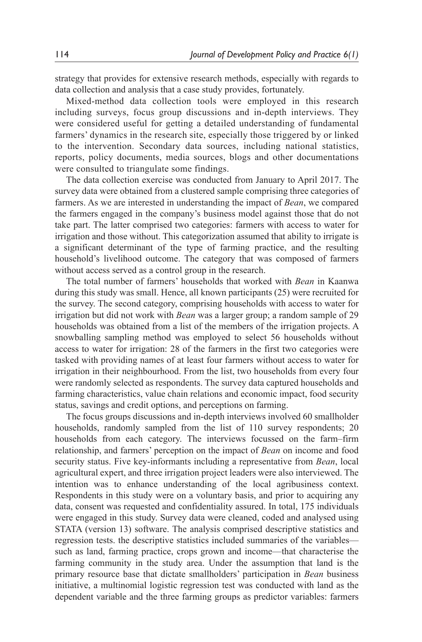strategy that provides for extensive research methods, especially with regards to data collection and analysis that a case study provides, fortunately.

Mixed-method data collection tools were employed in this research including surveys, focus group discussions and in-depth interviews. They were considered useful for getting a detailed understanding of fundamental farmers' dynamics in the research site, especially those triggered by or linked to the intervention. Secondary data sources, including national statistics, reports, policy documents, media sources, blogs and other documentations were consulted to triangulate some findings.

The data collection exercise was conducted from January to April 2017. The survey data were obtained from a clustered sample comprising three categories of farmers. As we are interested in understanding the impact of *Bean*, we compared the farmers engaged in the company's business model against those that do not take part. The latter comprised two categories: farmers with access to water for irrigation and those without. This categorization assumed that ability to irrigate is a significant determinant of the type of farming practice, and the resulting household's livelihood outcome. The category that was composed of farmers without access served as a control group in the research.

The total number of farmers' households that worked with *Bean* in Kaanwa during this study was small. Hence, all known participants (25) were recruited for the survey. The second category, comprising households with access to water for irrigation but did not work with *Bean* was a larger group; a random sample of 29 households was obtained from a list of the members of the irrigation projects. A snowballing sampling method was employed to select 56 households without access to water for irrigation: 28 of the farmers in the first two categories were tasked with providing names of at least four farmers without access to water for irrigation in their neighbourhood. From the list, two households from every four were randomly selected as respondents. The survey data captured households and farming characteristics, value chain relations and economic impact, food security status, savings and credit options, and perceptions on farming.

The focus groups discussions and in-depth interviews involved 60 smallholder households, randomly sampled from the list of 110 survey respondents; 20 households from each category. The interviews focussed on the farm–firm relationship, and farmers' perception on the impact of *Bean* on income and food security status. Five key-informants including a representative from *Bean*, local agricultural expert, and three irrigation project leaders were also interviewed. The intention was to enhance understanding of the local agribusiness context. Respondents in this study were on a voluntary basis, and prior to acquiring any data, consent was requested and confidentiality assured. In total, 175 individuals were engaged in this study. Survey data were cleaned, coded and analysed using STATA (version 13) software. The analysis comprised descriptive statistics and regression tests. the descriptive statistics included summaries of the variables such as land, farming practice, crops grown and income—that characterise the farming community in the study area. Under the assumption that land is the primary resource base that dictate smallholders' participation in *Bean* business initiative, a multinomial logistic regression test was conducted with land as the dependent variable and the three farming groups as predictor variables: farmers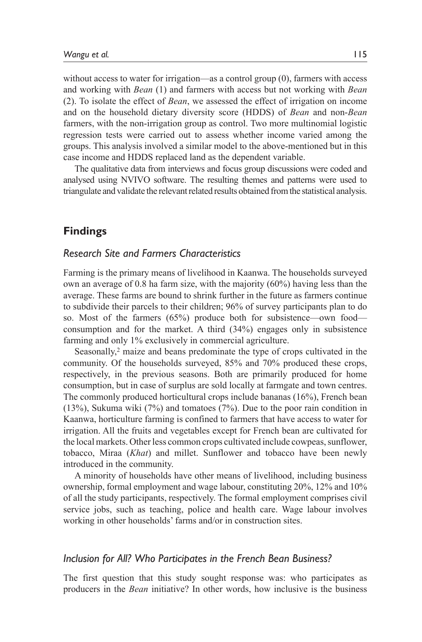without access to water for irrigation—as a control group (0), farmers with access and working with *Bean* (1) and farmers with access but not working with *Bean* (2). To isolate the effect of *Bean*, we assessed the effect of irrigation on income and on the household dietary diversity score (HDDS) of *Bean* and non-*Bean* farmers, with the non-irrigation group as control. Two more multinomial logistic regression tests were carried out to assess whether income varied among the groups. This analysis involved a similar model to the above-mentioned but in this case income and HDDS replaced land as the dependent variable.

The qualitative data from interviews and focus group discussions were coded and analysed using NVIVO software. The resulting themes and patterns were used to triangulate and validate the relevant related results obtained from the statistical analysis.

# **Findings**

## *Research Site and Farmers Characteristics*

Farming is the primary means of livelihood in Kaanwa. The households surveyed own an average of 0.8 ha farm size, with the majority (60%) having less than the average. These farms are bound to shrink further in the future as farmers continue to subdivide their parcels to their children; 96% of survey participants plan to do so. Most of the farmers (65%) produce both for subsistence—own food consumption and for the market. A third (34%) engages only in subsistence farming and only 1% exclusively in commercial agriculture.

Seasonally,<sup>2</sup> maize and beans predominate the type of crops cultivated in the community. Of the households surveyed, 85% and 70% produced these crops, respectively, in the previous seasons. Both are primarily produced for home consumption, but in case of surplus are sold locally at farmgate and town centres. The commonly produced horticultural crops include bananas (16%), French bean (13%), Sukuma wiki (7%) and tomatoes (7%). Due to the poor rain condition in Kaanwa, horticulture farming is confined to farmers that have access to water for irrigation. All the fruits and vegetables except for French bean are cultivated for the local markets. Other less common crops cultivated include cowpeas, sunflower, tobacco, Miraa (*Khat*) and millet. Sunflower and tobacco have been newly introduced in the community.

A minority of households have other means of livelihood, including business ownership, formal employment and wage labour, constituting 20%, 12% and 10% of all the study participants, respectively. The formal employment comprises civil service jobs, such as teaching, police and health care. Wage labour involves working in other households' farms and/or in construction sites.

## *Inclusion for All? Who Participates in the French Bean Business?*

The first question that this study sought response was: who participates as producers in the *Bean* initiative? In other words, how inclusive is the business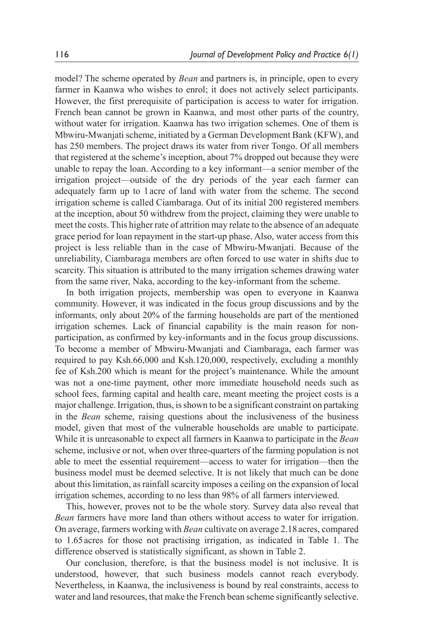model? The scheme operated by *Bean* and partners is, in principle, open to every farmer in Kaanwa who wishes to enrol; it does not actively select participants. However, the first prerequisite of participation is access to water for irrigation. French bean cannot be grown in Kaanwa, and most other parts of the country, without water for irrigation. Kaanwa has two irrigation schemes. One of them is Mbwiru-Mwanjati scheme, initiated by a German Development Bank (KFW), and has 250 members. The project draws its water from river Tongo. Of all members that registered at the scheme's inception, about 7% dropped out because they were unable to repay the loan. According to a key informant—a senior member of the irrigation project—outside of the dry periods of the year each farmer can adequately farm up to 1acre of land with water from the scheme. The second irrigation scheme is called Ciambaraga. Out of its initial 200 registered members at the inception, about 50 withdrew from the project, claiming they were unable to meet the costs. This higher rate of attrition may relate to the absence of an adequate grace period for loan repayment in the start-up phase. Also, water access from this project is less reliable than in the case of Mbwiru-Mwanjati. Because of the unreliability, Ciambaraga members are often forced to use water in shifts due to scarcity. This situation is attributed to the many irrigation schemes drawing water from the same river, Naka, according to the key-informant from the scheme.

In both irrigation projects, membership was open to everyone in Kaanwa community. However, it was indicated in the focus group discussions and by the informants, only about 20% of the farming households are part of the mentioned irrigation schemes. Lack of financial capability is the main reason for nonparticipation, as confirmed by key-informants and in the focus group discussions. To become a member of Mbwiru-Mwanjati and Ciambaraga, each farmer was required to pay Ksh.66,000 and Ksh.120,000, respectively, excluding a monthly fee of Ksh.200 which is meant for the project's maintenance. While the amount was not a one-time payment, other more immediate household needs such as school fees, farming capital and health care, meant meeting the project costs is a major challenge. Irrigation, thus, is shown to be a significant constraint on partaking in the *Bean* scheme, raising questions about the inclusiveness of the business model, given that most of the vulnerable households are unable to participate. While it is unreasonable to expect all farmers in Kaanwa to participate in the *Bean* scheme, inclusive or not, when over three-quarters of the farming population is not able to meet the essential requirement—access to water for irrigation—then the business model must be deemed selective. It is not likely that much can be done about this limitation, as rainfall scarcity imposes a ceiling on the expansion of local irrigation schemes, according to no less than 98% of all farmers interviewed.

This, however, proves not to be the whole story. Survey data also reveal that *Bean* farmers have more land than others without access to water for irrigation. On average, farmers working with *Bean* cultivate on average 2.18acres, compared to 1.65acres for those not practising irrigation, as indicated in Table 1. The difference observed is statistically significant, as shown in Table 2.

Our conclusion, therefore, is that the business model is not inclusive. It is understood, however, that such business models cannot reach everybody. Nevertheless, in Kaanwa, the inclusiveness is bound by real constraints, access to water and land resources, that make the French bean scheme significantly selective.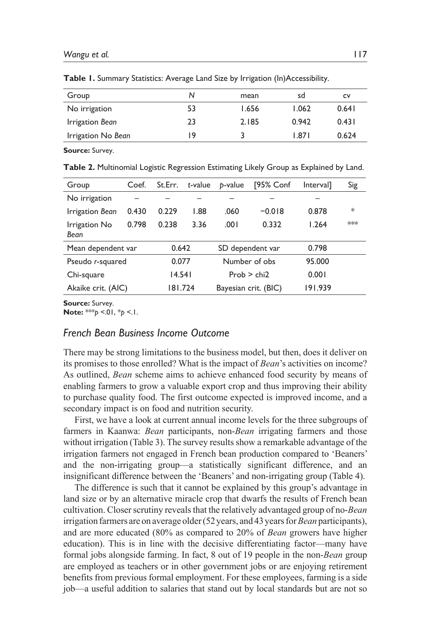| Group              | N  | mean  | sd    | c٧    |
|--------------------|----|-------|-------|-------|
| No irrigation      | 53 | 1.656 | 1.062 | 0.641 |
| Irrigation Bean    | 23 | 2.185 | 0.942 | 0.431 |
| Irrigation No Bean | 19 | ર     | 1.871 | 0.624 |
|                    |    |       |       |       |

**Table 1.** Summary Statistics: Average Land Size by Irrigation (In)Accessibility.

**Source:** Survey.

**Table 2.** Multinomial Logistic Regression Estimating Likely Group as Explained by Land.

| Group                     | Coef. | St.Err.        | t-value | p-value              | [95% Conf        | <b>Interval</b> | Sig    |
|---------------------------|-------|----------------|---------|----------------------|------------------|-----------------|--------|
| No irrigation             |       |                |         |                      |                  |                 |        |
| Irrigation Bean           | 0.430 | 0.229          | 1.88    | .060                 | $-0.018$         | 0.878           | $\ast$ |
| Irrigation No<br>Bean     | 0.798 | 0.238          | 3.36    | .001                 | 0.332            | 1.264           | $***$  |
| Mean dependent var        |       |                | 0.642   |                      | SD dependent var |                 |        |
| 0.077<br>Pseudo r-squared |       | Number of obs. |         | 95.000               |                  |                 |        |
| Chi-square                |       |                | 14.541  |                      | Prob > chi2      | 0.001           |        |
| Akaike crit. (AIC)        |       | 181.724        |         | Bayesian crit. (BIC) |                  | 191.939         |        |

**Source:** Survey.

**Note:** \*\*\**p* <.01, \**p* <.1.

# *French Bean Business Income Outcome*

There may be strong limitations to the business model, but then, does it deliver on its promises to those enrolled? What is the impact of *Bean*'s activities on income? As outlined, *Bean* scheme aims to achieve enhanced food security by means of enabling farmers to grow a valuable export crop and thus improving their ability to purchase quality food. The first outcome expected is improved income, and a secondary impact is on food and nutrition security.

First, we have a look at current annual income levels for the three subgroups of farmers in Kaanwa: *Bean* participants, non-*Bean* irrigating farmers and those without irrigation (Table 3). The survey results show a remarkable advantage of the irrigation farmers not engaged in French bean production compared to 'Beaners' and the non-irrigating group—a statistically significant difference, and an insignificant difference between the 'Beaners' and non-irrigating group (Table 4).

The difference is such that it cannot be explained by this group's advantage in land size or by an alternative miracle crop that dwarfs the results of French bean cultivation. Closer scrutiny reveals that the relatively advantaged group of no-*Bean* irrigation farmers are on average older (52years, and 43years for *Bean* participants), and are more educated (80% as compared to 20% of *Bean* growers have higher education). This is in line with the decisive differentiating factor—many have formal jobs alongside farming. In fact, 8 out of 19 people in the non-*Bean* group are employed as teachers or in other government jobs or are enjoying retirement benefits from previous formal employment. For these employees, farming is a side job—a useful addition to salaries that stand out by local standards but are not so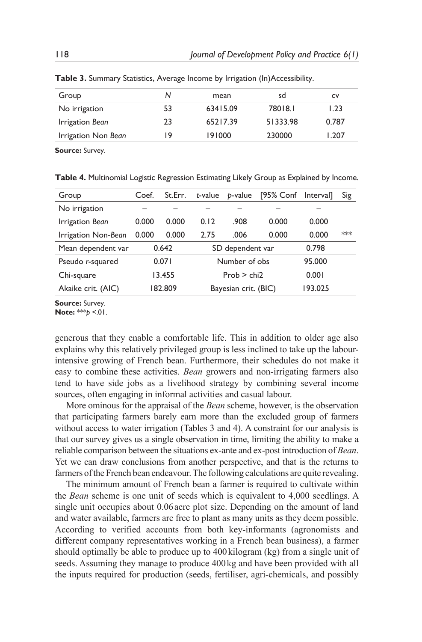| Group               | N  | mean     | sd       | <b>CV</b> |
|---------------------|----|----------|----------|-----------|
| No irrigation       | 53 | 63415.09 | 78018.1  | I.23      |
| Irrigation Bean     | 23 | 65217.39 | 51333.98 | 0.787     |
| Irrigation Non Bean | 19 | 191000   | 230000   | 1.207     |

**Table 3.** Summary Statistics, Average Income by Irrigation (In)Accessibility.

**Source:** Survey.

**Table 4.** Multinomial Logistic Regression Estimating Likely Group as Explained by Income.

| Group               | Coef.  | St.Err. | t-value              | b-value       | [95% Conf | Interval] | Sig |
|---------------------|--------|---------|----------------------|---------------|-----------|-----------|-----|
| No irrigation       |        |         |                      |               |           |           |     |
| Irrigation Bean     | 0.000  | 0.000   | 0.12                 | .908          | 0.000     | 0.000     |     |
| Irrigation Non-Bean | 0.000  | 0.000   | 2.75                 | .006          | 0.000     | 0.000     | *** |
| Mean dependent var  | 0.642  |         | SD dependent var     |               |           | 0.798     |     |
| Pseudo r-squared    | 0.071  |         |                      | Number of obs |           |           |     |
| Chi-square          | 13.455 |         | Prob > chi2          |               |           | 0.001     |     |
| Akaike crit. (AIC)  |        | 182.809 | Bayesian crit. (BIC) |               |           | 193.025   |     |
|                     |        |         |                      |               |           |           |     |

**Source:** Survey.

**Note:** \*\*\**p* <.01.

generous that they enable a comfortable life. This in addition to older age also explains why this relatively privileged group is less inclined to take up the labourintensive growing of French bean. Furthermore, their schedules do not make it easy to combine these activities. *Bean* growers and non-irrigating farmers also tend to have side jobs as a livelihood strategy by combining several income sources, often engaging in informal activities and casual labour.

More ominous for the appraisal of the *Bean* scheme, however, is the observation that participating farmers barely earn more than the excluded group of farmers without access to water irrigation (Tables 3 and 4). A constraint for our analysis is that our survey gives us a single observation in time, limiting the ability to make a reliable comparison between the situations ex-ante and ex-post introduction of *Bean*. Yet we can draw conclusions from another perspective, and that is the returns to farmers of the French bean endeavour. The following calculations are quite revealing.

The minimum amount of French bean a farmer is required to cultivate within the *Bean* scheme is one unit of seeds which is equivalent to 4,000 seedlings. A single unit occupies about 0.06acre plot size. Depending on the amount of land and water available, farmers are free to plant as many units as they deem possible. According to verified accounts from both key-informants (agronomists and different company representatives working in a French bean business), a farmer should optimally be able to produce up to 400kilogram (kg) from a single unit of seeds. Assuming they manage to produce 400kg and have been provided with all the inputs required for production (seeds, fertiliser, agri-chemicals, and possibly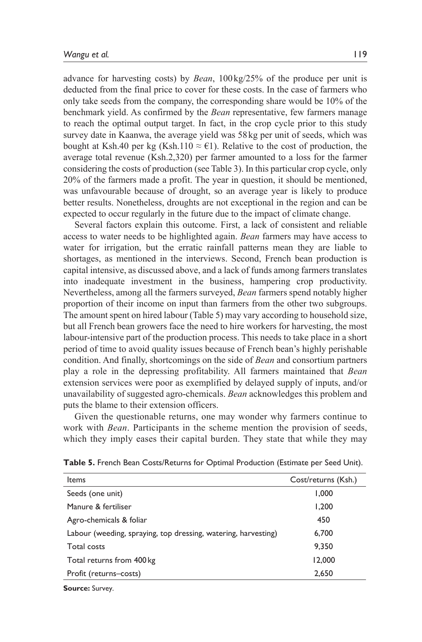advance for harvesting costs) by *Bean*, 100kg/25% of the produce per unit is deducted from the final price to cover for these costs. In the case of farmers who only take seeds from the company, the corresponding share would be 10% of the benchmark yield. As confirmed by the *Bean* representative, few farmers manage to reach the optimal output target. In fact, in the crop cycle prior to this study survey date in Kaanwa, the average yield was 58kg per unit of seeds, which was bought at Ksh.40 per kg (Ksh.110  $\approx$  €1). Relative to the cost of production, the average total revenue (Ksh.2,320) per farmer amounted to a loss for the farmer considering the costs of production (see Table 3). In this particular crop cycle, only 20% of the farmers made a profit. The year in question, it should be mentioned, was unfavourable because of drought, so an average year is likely to produce better results. Nonetheless, droughts are not exceptional in the region and can be expected to occur regularly in the future due to the impact of climate change.

Several factors explain this outcome. First, a lack of consistent and reliable access to water needs to be highlighted again. *Bean* farmers may have access to water for irrigation, but the erratic rainfall patterns mean they are liable to shortages, as mentioned in the interviews. Second, French bean production is capital intensive, as discussed above, and a lack of funds among farmers translates into inadequate investment in the business, hampering crop productivity. Nevertheless, among all the farmers surveyed, *Bean* farmers spend notably higher proportion of their income on input than farmers from the other two subgroups. The amount spent on hired labour (Table 5) may vary according to household size, but all French bean growers face the need to hire workers for harvesting, the most labour-intensive part of the production process. This needs to take place in a short period of time to avoid quality issues because of French bean's highly perishable condition. And finally, shortcomings on the side of *Bean* and consortium partners play a role in the depressing profitability. All farmers maintained that *Bean* extension services were poor as exemplified by delayed supply of inputs, and/or unavailability of suggested agro-chemicals. *Bean* acknowledges this problem and puts the blame to their extension officers.

Given the questionable returns, one may wonder why farmers continue to work with *Bean*. Participants in the scheme mention the provision of seeds, which they imply eases their capital burden. They state that while they may

| Items                                                          | Cost/returns (Ksh.) |
|----------------------------------------------------------------|---------------------|
| Seeds (one unit)                                               | 1,000               |
| Manure & fertiliser                                            | 1.200               |
| Agro-chemicals & foliar                                        | 450                 |
| Labour (weeding, spraying, top dressing, watering, harvesting) | 6,700               |
| Total costs                                                    | 9.350               |
| Total returns from 400 kg                                      | 12,000              |
| Profit (returns-costs)                                         | 2,650               |

**Table 5.** French Bean Costs/Returns for Optimal Production (Estimate per Seed Unit).

**Source:** Survey.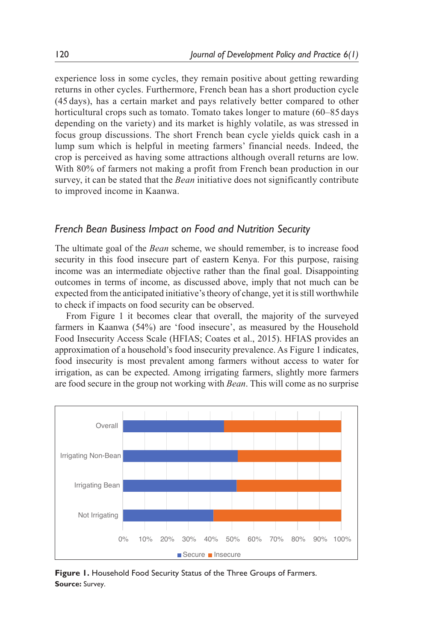experience loss in some cycles, they remain positive about getting rewarding returns in other cycles. Furthermore, French bean has a short production cycle (45 days), has a certain market and pays relatively better compared to other horticultural crops such as tomato. Tomato takes longer to mature (60–85 days depending on the variety) and its market is highly volatile, as was stressed in focus group discussions. The short French bean cycle yields quick cash in a lump sum which is helpful in meeting farmers' financial needs. Indeed, the crop is perceived as having some attractions although overall returns are low. With 80% of farmers not making a profit from French bean production in our survey, it can be stated that the *Bean* initiative does not significantly contribute to improved income in Kaanwa.

## *French Bean Business Impact on Food and Nutrition Security*

The ultimate goal of the *Bean* scheme, we should remember, is to increase food security in this food insecure part of eastern Kenya. For this purpose, raising income was an intermediate objective rather than the final goal. Disappointing outcomes in terms of income, as discussed above, imply that not much can be expected from the anticipated initiative's theory of change, yet it is still worthwhile to check if impacts on food security can be observed.

From Figure 1 it becomes clear that overall, the majority of the surveyed farmers in Kaanwa (54%) are 'food insecure', as measured by the Household Food Insecurity Access Scale (HFIAS; Coates et al., 2015). HFIAS provides an approximation of a household's food insecurity prevalence. As Figure 1 indicates, food insecurity is most prevalent among farmers without access to water for irrigation, as can be expected. Among irrigating farmers, slightly more farmers are food secure in the group not working with *Bean*. This will come as no surprise



**Figure 1.** Household Food Security Status of the Three Groups of Farmers. **Source:** Survey.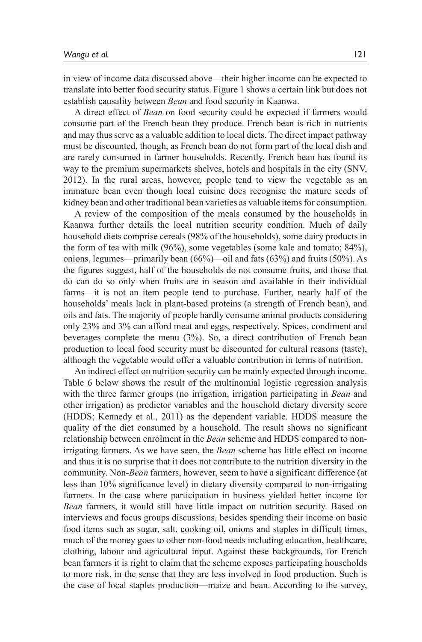in view of income data discussed above—their higher income can be expected to translate into better food security status. Figure 1 shows a certain link but does not establish causality between *Bean* and food security in Kaanwa.

A direct effect of *Bean* on food security could be expected if farmers would consume part of the French bean they produce. French bean is rich in nutrients and may thus serve as a valuable addition to local diets. The direct impact pathway must be discounted, though, as French bean do not form part of the local dish and are rarely consumed in farmer households. Recently, French bean has found its way to the premium supermarkets shelves, hotels and hospitals in the city (SNV, 2012). In the rural areas, however, people tend to view the vegetable as an immature bean even though local cuisine does recognise the mature seeds of kidney bean and other traditional bean varieties as valuable items for consumption.

A review of the composition of the meals consumed by the households in Kaanwa further details the local nutrition security condition. Much of daily household diets comprise cereals (98% of the households), some dairy products in the form of tea with milk (96%), some vegetables (some kale and tomato; 84%), onions, legumes—primarily bean  $(66\%)$ —oil and fats  $(63\%)$  and fruits  $(50\%)$ . As the figures suggest, half of the households do not consume fruits, and those that do can do so only when fruits are in season and available in their individual farms—it is not an item people tend to purchase. Further, nearly half of the households' meals lack in plant-based proteins (a strength of French bean), and oils and fats. The majority of people hardly consume animal products considering only 23% and 3% can afford meat and eggs, respectively. Spices, condiment and beverages complete the menu (3%). So, a direct contribution of French bean production to local food security must be discounted for cultural reasons (taste), although the vegetable would offer a valuable contribution in terms of nutrition.

An indirect effect on nutrition security can be mainly expected through income. Table 6 below shows the result of the multinomial logistic regression analysis with the three farmer groups (no irrigation, irrigation participating in *Bean* and other irrigation) as predictor variables and the household dietary diversity score (HDDS; Kennedy et al., 2011) as the dependent variable. HDDS measure the quality of the diet consumed by a household. The result shows no significant relationship between enrolment in the *Bean* scheme and HDDS compared to nonirrigating farmers. As we have seen, the *Bean* scheme has little effect on income and thus it is no surprise that it does not contribute to the nutrition diversity in the community. Non-*Bean* farmers, however, seem to have a significant difference (at less than 10% significance level) in dietary diversity compared to non-irrigating farmers. In the case where participation in business yielded better income for *Bean* farmers, it would still have little impact on nutrition security. Based on interviews and focus groups discussions, besides spending their income on basic food items such as sugar, salt, cooking oil, onions and staples in difficult times, much of the money goes to other non-food needs including education, healthcare, clothing, labour and agricultural input. Against these backgrounds, for French bean farmers it is right to claim that the scheme exposes participating households to more risk, in the sense that they are less involved in food production. Such is the case of local staples production—maize and bean. According to the survey,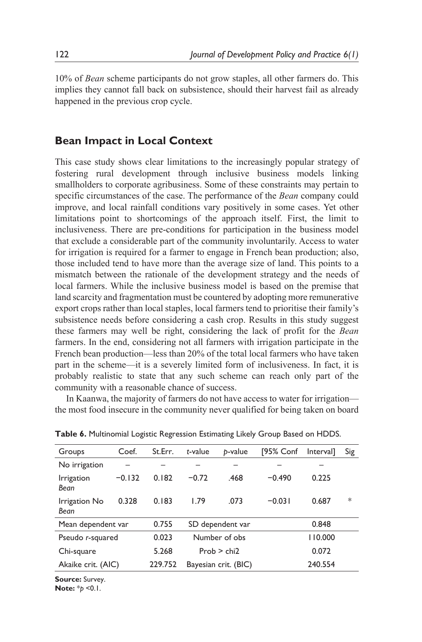10% of *Bean* scheme participants do not grow staples, all other farmers do. This implies they cannot fall back on subsistence, should their harvest fail as already happened in the previous crop cycle.

# **Bean Impact in Local Context**

This case study shows clear limitations to the increasingly popular strategy of fostering rural development through inclusive business models linking smallholders to corporate agribusiness. Some of these constraints may pertain to specific circumstances of the case. The performance of the *Bean* company could improve, and local rainfall conditions vary positively in some cases. Yet other limitations point to shortcomings of the approach itself. First, the limit to inclusiveness. There are pre-conditions for participation in the business model that exclude a considerable part of the community involuntarily. Access to water for irrigation is required for a farmer to engage in French bean production; also, those included tend to have more than the average size of land. This points to a mismatch between the rationale of the development strategy and the needs of local farmers. While the inclusive business model is based on the premise that land scarcity and fragmentation must be countered by adopting more remunerative export crops rather than local staples, local farmers tend to prioritise their family's subsistence needs before considering a cash crop. Results in this study suggest these farmers may well be right, considering the lack of profit for the *Bean* farmers. In the end, considering not all farmers with irrigation participate in the French bean production—less than 20% of the total local farmers who have taken part in the scheme—it is a severely limited form of inclusiveness. In fact, it is probably realistic to state that any such scheme can reach only part of the community with a reasonable chance of success.

In Kaanwa, the majority of farmers do not have access to water for irrigation the most food insecure in the community never qualified for being taken on board

| Groups                | Coef.    | St.Err. | t-value              | b-value | [95% Conf | Intervall | Sig    |
|-----------------------|----------|---------|----------------------|---------|-----------|-----------|--------|
| No irrigation         |          |         |                      |         |           |           |        |
| Irrigation<br>Bean    | $-0.132$ | 0.182   | $-0.72$              | .468    | $-0.490$  | 0.225     |        |
| Irrigation No<br>Bean | 0.328    | 0.183   | 1.79                 | .073    | $-0.031$  | 0.687     | $\ast$ |
| Mean dependent var    |          | 0.755   | SD dependent var     |         |           | 0.848     |        |
| Pseudo r-squared      |          | 0.023   | Number of obs        |         | 110.000   |           |        |
| Chi-square            |          | 5.268   | Prob > chi2          |         | 0.072     |           |        |
| Akaike crit. (AIC)    |          | 229.752 | Bayesian crit. (BIC) |         |           | 240.554   |        |

**Table 6.** Multinomial Logistic Regression Estimating Likely Group Based on HDDS.

**Source:** Survey. **Note:** \**p* <0.1.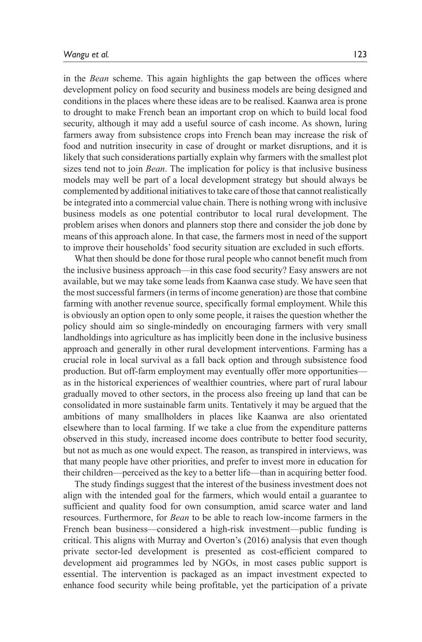in the *Bean* scheme. This again highlights the gap between the offices where development policy on food security and business models are being designed and conditions in the places where these ideas are to be realised. Kaanwa area is prone to drought to make French bean an important crop on which to build local food security, although it may add a useful source of cash income. As shown, luring farmers away from subsistence crops into French bean may increase the risk of food and nutrition insecurity in case of drought or market disruptions, and it is likely that such considerations partially explain why farmers with the smallest plot sizes tend not to join *Bean*. The implication for policy is that inclusive business models may well be part of a local development strategy but should always be complemented by additional initiatives to take care of those that cannot realistically be integrated into a commercial value chain. There is nothing wrong with inclusive business models as one potential contributor to local rural development. The problem arises when donors and planners stop there and consider the job done by means of this approach alone. In that case, the farmers most in need of the support to improve their households' food security situation are excluded in such efforts.

What then should be done for those rural people who cannot benefit much from the inclusive business approach—in this case food security? Easy answers are not available, but we may take some leads from Kaanwa case study. We have seen that the most successful farmers (in terms of income generation) are those that combine farming with another revenue source, specifically formal employment. While this is obviously an option open to only some people, it raises the question whether the policy should aim so single-mindedly on encouraging farmers with very small landholdings into agriculture as has implicitly been done in the inclusive business approach and generally in other rural development interventions. Farming has a crucial role in local survival as a fall back option and through subsistence food production. But off-farm employment may eventually offer more opportunities as in the historical experiences of wealthier countries, where part of rural labour gradually moved to other sectors, in the process also freeing up land that can be consolidated in more sustainable farm units. Tentatively it may be argued that the ambitions of many smallholders in places like Kaanwa are also orientated elsewhere than to local farming. If we take a clue from the expenditure patterns observed in this study, increased income does contribute to better food security, but not as much as one would expect. The reason, as transpired in interviews, was that many people have other priorities, and prefer to invest more in education for their children—perceived as the key to a better life—than in acquiring better food.

The study findings suggest that the interest of the business investment does not align with the intended goal for the farmers, which would entail a guarantee to sufficient and quality food for own consumption, amid scarce water and land resources. Furthermore, for *Bean* to be able to reach low-income farmers in the French bean business—considered a high-risk investment—public funding is critical. This aligns with Murray and Overton's (2016) analysis that even though private sector-led development is presented as cost-efficient compared to development aid programmes led by NGOs, in most cases public support is essential. The intervention is packaged as an impact investment expected to enhance food security while being profitable, yet the participation of a private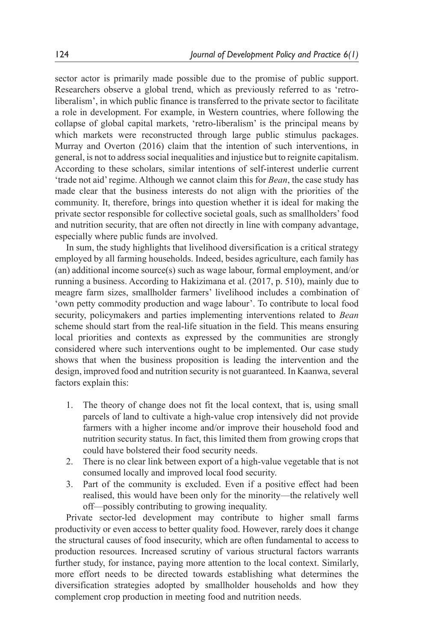sector actor is primarily made possible due to the promise of public support. Researchers observe a global trend, which as previously referred to as 'retroliberalism', in which public finance is transferred to the private sector to facilitate a role in development. For example, in Western countries, where following the collapse of global capital markets, 'retro-liberalism' is the principal means by which markets were reconstructed through large public stimulus packages. Murray and Overton (2016) claim that the intention of such interventions, in general, is not to address social inequalities and injustice but to reignite capitalism. According to these scholars, similar intentions of self-interest underlie current 'trade not aid' regime. Although we cannot claim this for *Bean*, the case study has made clear that the business interests do not align with the priorities of the community. It, therefore, brings into question whether it is ideal for making the private sector responsible for collective societal goals, such as smallholders' food and nutrition security, that are often not directly in line with company advantage, especially where public funds are involved.

In sum, the study highlights that livelihood diversification is a critical strategy employed by all farming households. Indeed, besides agriculture, each family has (an) additional income source(s) such as wage labour, formal employment, and/or running a business. According to Hakizimana et al. (2017, p. 510), mainly due to meagre farm sizes, smallholder farmers' livelihood includes a combination of 'own petty commodity production and wage labour'. To contribute to local food security, policymakers and parties implementing interventions related to *Bean* scheme should start from the real-life situation in the field. This means ensuring local priorities and contexts as expressed by the communities are strongly considered where such interventions ought to be implemented. Our case study shows that when the business proposition is leading the intervention and the design, improved food and nutrition security is not guaranteed. In Kaanwa, several factors explain this:

- 1. The theory of change does not fit the local context, that is, using small parcels of land to cultivate a high-value crop intensively did not provide farmers with a higher income and/or improve their household food and nutrition security status. In fact, this limited them from growing crops that could have bolstered their food security needs.
- 2. There is no clear link between export of a high-value vegetable that is not consumed locally and improved local food security.
- 3. Part of the community is excluded. Even if a positive effect had been realised, this would have been only for the minority—the relatively well off—possibly contributing to growing inequality.

Private sector-led development may contribute to higher small farms productivity or even access to better quality food. However, rarely does it change the structural causes of food insecurity, which are often fundamental to access to production resources. Increased scrutiny of various structural factors warrants further study, for instance, paying more attention to the local context. Similarly, more effort needs to be directed towards establishing what determines the diversification strategies adopted by smallholder households and how they complement crop production in meeting food and nutrition needs.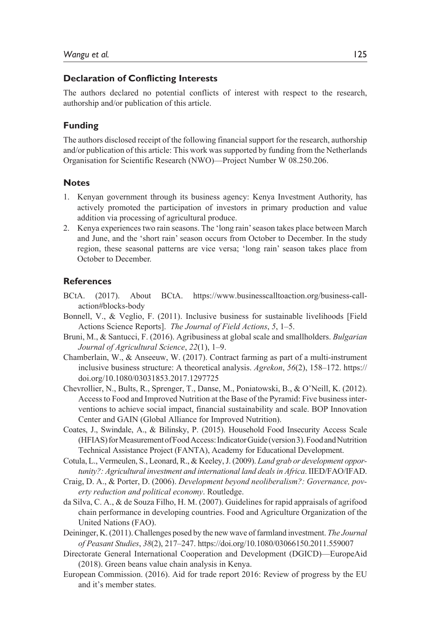#### **Declaration of Conflicting Interests**

The authors declared no potential conflicts of interest with respect to the research, authorship and/or publication of this article.

#### **Funding**

The authors disclosed receipt of the following financial support for the research, authorship and/or publication of this article: This work was supported by funding from the Netherlands Organisation for Scientific Research (NWO)—Project Number W 08.250.206.

#### **Notes**

- 1. Kenyan government through its business agency: Kenya Investment Authority, has actively promoted the participation of investors in primary production and value addition via processing of agricultural produce.
- 2. Kenya experiences two rain seasons. The 'long rain' season takes place between March and June, and the 'short rain' season occurs from October to December. In the study region, these seasonal patterns are vice versa; 'long rain' season takes place from October to December.

### **References**

- BCtA. (2017). About BCtA. https://www.businesscalltoaction.org/business-callaction#blocks-body
- Bonnell, V., & Veglio, F. (2011). Inclusive business for sustainable livelihoods [Field Actions Science Reports]. *The Journal of Field Actions*, *5*, 1–5.
- Bruni, M., & Santucci, F. (2016). Agribusiness at global scale and smallholders. *Bulgarian Journal of Agricultural Science*, *22*(1), 1–9.
- Chamberlain, W., & Anseeuw, W. (2017). Contract farming as part of a multi-instrument inclusive business structure: A theoretical analysis. *Agrekon*, *56*(2), 158–172. https:// doi.org/10.1080/03031853.2017.1297725
- Chevrollier, N., Bults, R., Sprenger, T., Danse, M., Poniatowski, B., & O'Neill, K. (2012). Access to Food and Improved Nutrition at the Base of the Pyramid: Five business interventions to achieve social impact, financial sustainability and scale. BOP Innovation Center and GAIN (Global Alliance for Improved Nutrition).
- Coates, J., Swindale, A., & Bilinsky, P. (2015). Household Food Insecurity Access Scale (HFIAS) for Measurement of Food Access: Indicator Guide (version 3). Food and Nutrition Technical Assistance Project (FANTA), Academy for Educational Development.
- Cotula, L., Vermeulen, S., Leonard, R., & Keeley, J. (2009). *Land grab or development opportunity?: Agricultural investment and international land deals in Africa*. IIED/FAO/IFAD.
- Craig, D. A., & Porter, D. (2006). *Development beyond neoliberalism?: Governance, poverty reduction and political economy*. Routledge.
- da Silva, C. A., & de Souza Filho, H. M. (2007). Guidelines for rapid appraisals of agrifood chain performance in developing countries. Food and Agriculture Organization of the United Nations (FAO).
- Deininger, K. (2011). Challenges posed by the new wave of farmland investment. *The Journal of Peasant Studies*, *38*(2), 217–247. https://doi.org/10.1080/03066150.2011.559007
- Directorate General International Cooperation and Development (DGICD)—EuropeAid (2018). Green beans value chain analysis in Kenya.
- European Commission. (2016). Aid for trade report 2016: Review of progress by the EU and it's member states.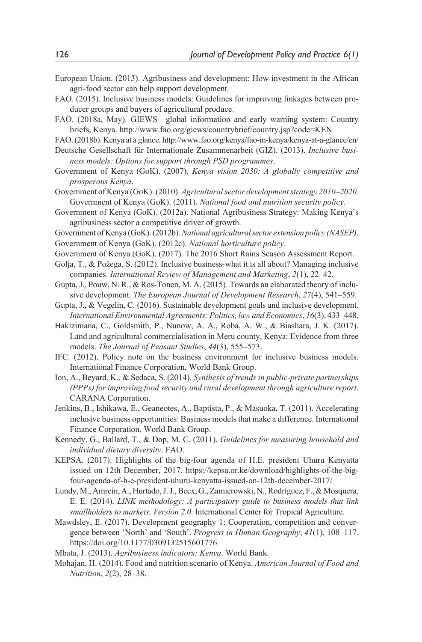- European Union. (2013). Agribusiness and development: How investment in the African agri-food sector can help support development.
- FAO. (2015). Inclusive business models: Guidelines for improving linkages between producer groups and buyers of agricultural produce.
- FAO. (2018a, May). GIEWS—global information and early warning system: Country briefs, Kenya. http://www.fao.org/giews/countrybrief/country.jsp?code=KEN

FAO. (2018b). Kenya at a glance. http://www.fao.org/kenya/fao-in-kenya/kenya-at-a-glance/en/ Deutsche Gesellschaft für Internationale Zusammenarbeit (GIZ). (2013). *Inclusive busi-*

- *ness models: Options for support through PSD programmes*. Government of Kenya (GoK). (2007). *Kenya vision 2030: A globally competitive and prosperous Kenya*.
- Government of Kenya (GoK). (2010). *Agricultural sector development strategy 2010–2020*. Government of Kenya (GoK). (2011). *National food and nutrition security policy*.
- Government of Kenya (GoK). (2012a). National Agribusiness Strategy: Making Kenya's agribusiness sector a competitive driver of growth.

Government of Kenya (GoK). (2012b). *National agricultural sector extension policy (NASEP)*.

Government of Kenya (GoK). (2012c). *National horticulture policy*.

- Government of Kenya (GoK). (2017). The 2016 Short Rains Season Assessment Report.
- Golja, T., & Požega, S. (2012). Inclusive business-what it is all about? Managing inclusive companies. *International Review of Management and Marketing*, *2*(1), 22–42.
- Gupta, J., Pouw, N. R., & Ros-Tonen, M. A. (2015). Towards an elaborated theory of inclusive development. *The European Journal of Development Research*, *27*(4), 541–559.
- Gupta, J., & Vegelin, C. (2016). Sustainable development goals and inclusive development. *International Environmental Agreements: Politics, law and Economics*, *16*(3), 433–448.
- Hakizimana, C., Goldsmith, P., Nunow, A. A., Roba, A. W., & Biashara, J. K. (2017). Land and agricultural commercialisation in Meru county, Kenya: Evidence from three models. *The Journal of Peasant Studies*, *44*(3), 555–573.
- IFC. (2012). Policy note on the business environment for inclusive business models. International Finance Corporation, World Bank Group.
- Ion, A., Beyard, K., & Sedaca, S. (2014). *Synthesis of trends in public-private partnerships (PPPs) for improving food security and rural development through agriculture report*. CARANA Corporation.
- Jenkins, B., Ishikawa, E., Geaneotes, A., Baptista, P., & Masuoka, T. (2011). Accelerating inclusive business opportunities: Business models that make a difference. International Finance Corporation, World Bank Group.
- Kennedy, G., Ballard, T., & Dop, M. C. (2011). *Guidelines for measuring household and individual dietary diversity*. FAO.
- KEPSA. (2017). Highlights of the big-four agenda of H.E. president Uhuru Kenyatta issued on 12th December, 2017. https://kepsa.or.ke/download/highlights-of-the-bigfour-agenda-of-h-e-president-uhuru-kenyatta-issued-on-12th-december-2017/
- Lundy, M., Amrein, A., Hurtado, J. J., Becx, G., Zamierowski, N., Rodríguez, F., & Mosquera, E. E. (2014). *LINK methodology: A participatory guide to business models that link smallholders to markets. Version 2.0*. International Center for Tropical Agriculture.
- Mawdsley, E. (2017). Development geography 1: Cooperation, competition and convergence between 'North' and 'South'. *Progress in Human Geography*, *41*(1), 108–117. https://doi.org/10.1177/0309132515601776

Mbata, J. (2013). *Agribusiness indicators: Kenya*. World Bank.

Mohajan, H. (2014). Food and nutrition scenario of Kenya. *American Journal of Food and Nutrition*, *2*(2), 28–38.